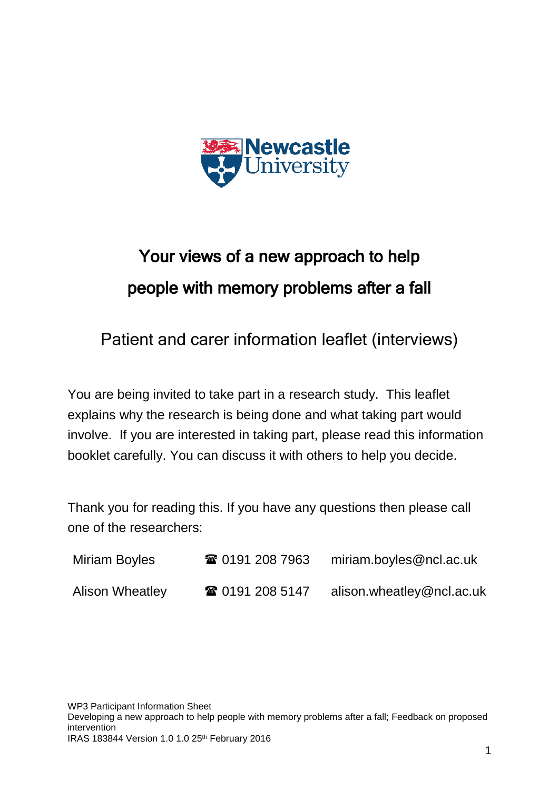

# Your views of a new approach to help people with memory problems after a fall

Patient and carer information leaflet (interviews)

You are being invited to take part in a research study. This leaflet explains why the research is being done and what taking part would involve. If you are interested in taking part, please read this information booklet carefully. You can discuss it with others to help you decide.

Thank you for reading this. If you have any questions then please call one of the researchers:

| Miriam Boyles          | ☎ 0191 208 7963 | miriam.boyles@ncl.ac.uk   |
|------------------------|-----------------|---------------------------|
| <b>Alison Wheatley</b> | ☎ 0191 208 5147 | alison.wheatley@ncl.ac.uk |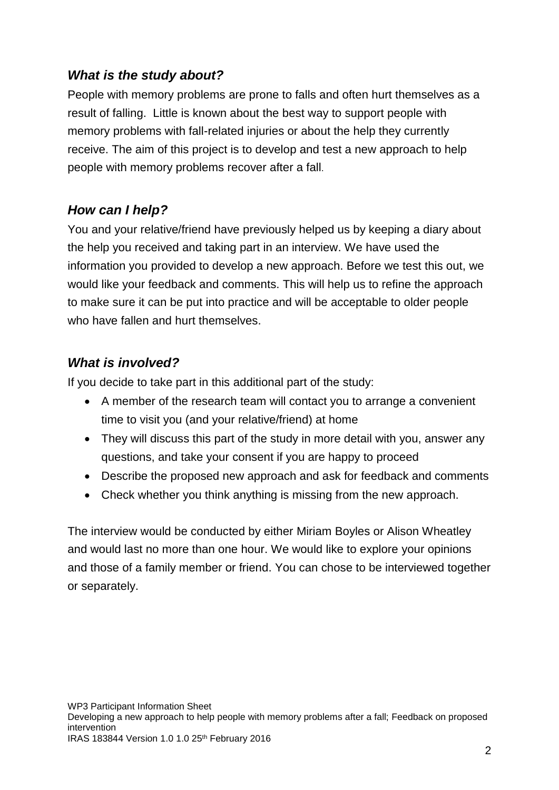### *What is the study about?*

People with memory problems are prone to falls and often hurt themselves as a result of falling. Little is known about the best way to support people with memory problems with fall-related injuries or about the help they currently receive. The aim of this project is to develop and test a new approach to help people with memory problems recover after a fall.

## *How can I help?*

You and your relative/friend have previously helped us by keeping a diary about the help you received and taking part in an interview. We have used the information you provided to develop a new approach. Before we test this out, we would like your feedback and comments. This will help us to refine the approach to make sure it can be put into practice and will be acceptable to older people who have fallen and hurt themselves.

## *What is involved?*

If you decide to take part in this additional part of the study:

- A member of the research team will contact you to arrange a convenient time to visit you (and your relative/friend) at home
- They will discuss this part of the study in more detail with you, answer any questions, and take your consent if you are happy to proceed
- Describe the proposed new approach and ask for feedback and comments
- Check whether you think anything is missing from the new approach.

The interview would be conducted by either Miriam Boyles or Alison Wheatley and would last no more than one hour. We would like to explore your opinions and those of a family member or friend. You can chose to be interviewed together or separately.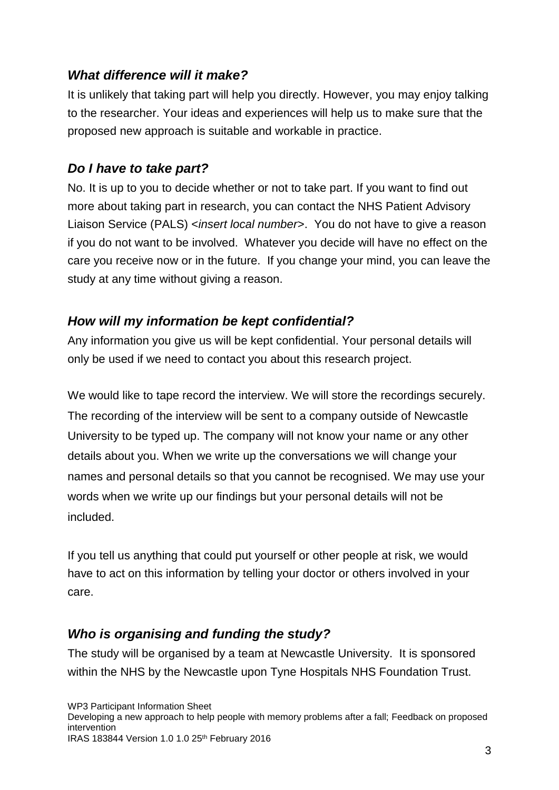#### *What difference will it make?*

It is unlikely that taking part will help you directly. However, you may enjoy talking to the researcher. Your ideas and experiences will help us to make sure that the proposed new approach is suitable and workable in practice.

#### *Do I have to take part?*

No. It is up to you to decide whether or not to take part. If you want to find out more about taking part in research, you can contact the NHS Patient Advisory Liaison Service (PALS) <*insert local number*>. You do not have to give a reason if you do not want to be involved. Whatever you decide will have no effect on the care you receive now or in the future. If you change your mind, you can leave the study at any time without giving a reason.

### *How will my information be kept confidential?*

Any information you give us will be kept confidential. Your personal details will only be used if we need to contact you about this research project.

We would like to tape record the interview. We will store the recordings securely. The recording of the interview will be sent to a company outside of Newcastle University to be typed up. The company will not know your name or any other details about you. When we write up the conversations we will change your names and personal details so that you cannot be recognised. We may use your words when we write up our findings but your personal details will not be included.

If you tell us anything that could put yourself or other people at risk, we would have to act on this information by telling your doctor or others involved in your care.

### *Who is organising and funding the study?*

The study will be organised by a team at Newcastle University. It is sponsored within the NHS by the Newcastle upon Tyne Hospitals NHS Foundation Trust.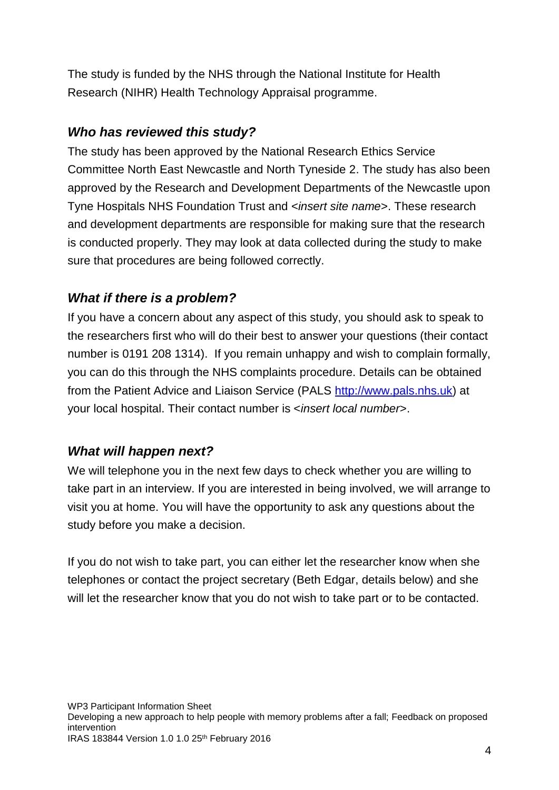The study is funded by the NHS through the National Institute for Health Research (NIHR) Health Technology Appraisal programme.

## *Who has reviewed this study?*

The study has been approved by the National Research Ethics Service Committee North East Newcastle and North Tyneside 2. The study has also been approved by the Research and Development Departments of the Newcastle upon Tyne Hospitals NHS Foundation Trust and <*insert site name*>. These research and development departments are responsible for making sure that the research is conducted properly. They may look at data collected during the study to make sure that procedures are being followed correctly.

### *What if there is a problem?*

If you have a concern about any aspect of this study, you should ask to speak to the researchers first who will do their best to answer your questions (their contact number is 0191 208 1314). If you remain unhappy and wish to complain formally, you can do this through the NHS complaints procedure. Details can be obtained from the Patient Advice and Liaison Service (PALS [http://www.pals.nhs.uk\)](http://www.pals.nhs.uk/) at your local hospital. Their contact number is <*insert local number*>.

### *What will happen next?*

We will telephone you in the next few days to check whether you are willing to take part in an interview. If you are interested in being involved, we will arrange to visit you at home. You will have the opportunity to ask any questions about the study before you make a decision.

If you do not wish to take part, you can either let the researcher know when she telephones or contact the project secretary (Beth Edgar, details below) and she will let the researcher know that you do not wish to take part or to be contacted.